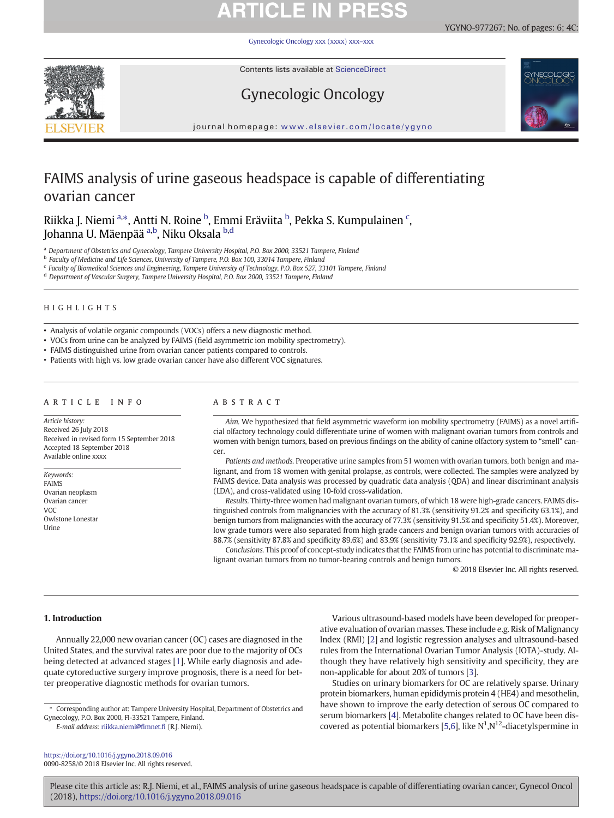# **ARTICLE IN PR**

[Gynecologic Oncology xxx \(xxxx\) xxx](https://doi.org/10.1016/j.ygyno.2018.09.016)–xxx



Contents lists available at ScienceDirect

# Gynecologic Oncology





journal homepage: <www.elsevier.com/locate/ygyno>

# FAIMS analysis of urine gaseous headspace is capable of differentiating ovarian cancer

Riikka J. Niemi <sup>a,</sup>\*, Antti N. Roine <sup>b</sup>, Emmi Eräviita <sup>b</sup>, Pekka S. Kumpulainen <sup>c</sup>, Johanna U. Mäenpää <sup>a,b</sup>, Niku Oksala <sup>b,d</sup>

<sup>a</sup> Department of Obstetrics and Gynecology, Tampere University Hospital, P.O. Box 2000, 33521 Tampere, Finland

<sup>b</sup> Faculty of Medicine and Life Sciences, University of Tampere, P.O. Box 100, 33014 Tampere, Finland

<sup>c</sup> Faculty of Biomedical Sciences and Engineering, Tampere University of Technology, P.O. Box 527, 33101 Tampere, Finland

<sup>d</sup> Department of Vascular Surgery, Tampere University Hospital, P.O. Box 2000, 33521 Tampere, Finland

# HIGHLIGHTS

• Analysis of volatile organic compounds (VOCs) offers a new diagnostic method.

• VOCs from urine can be analyzed by FAIMS (field asymmetric ion mobility spectrometry).

- FAIMS distinguished urine from ovarian cancer patients compared to controls.
- Patients with high vs. low grade ovarian cancer have also different VOC signatures.

## article info abstract

Article history: Received 26 July 2018 Received in revised form 15 September 2018 Accepted 18 September 2018 Available online xxxx

Keywords: FAIMS Ovarian neoplasm Ovarian cancer VOC Owlstone Lonestar Urine

Aim. We hypothesized that field asymmetric waveform ion mobility spectrometry (FAIMS) as a novel artificial olfactory technology could differentiate urine of women with malignant ovarian tumors from controls and women with benign tumors, based on previous findings on the ability of canine olfactory system to "smell" cancer.

Patients and methods. Preoperative urine samples from 51 women with ovarian tumors, both benign and malignant, and from 18 women with genital prolapse, as controls, were collected. The samples were analyzed by FAIMS device. Data analysis was processed by quadratic data analysis (QDA) and linear discriminant analysis (LDA), and cross-validated using 10-fold cross-validation.

Results. Thirty-three women had malignant ovarian tumors, of which 18 were high-grade cancers. FAIMS distinguished controls from malignancies with the accuracy of 81.3% (sensitivity 91.2% and specificity 63.1%), and benign tumors from malignancies with the accuracy of 77.3% (sensitivity 91.5% and specificity 51.4%). Moreover, low grade tumors were also separated from high grade cancers and benign ovarian tumors with accuracies of 88.7% (sensitivity 87.8% and specificity 89.6%) and 83.9% (sensitivity 73.1% and specificity 92.9%), respectively. Conclusions. This proof of concept-study indicates that the FAIMS from urine has potential to discriminate ma-

lignant ovarian tumors from no tumor-bearing controls and benign tumors.

© 2018 Elsevier Inc. All rights reserved.

### 1. Introduction

Annually 22,000 new ovarian cancer (OC) cases are diagnosed in the United States, and the survival rates are poor due to the majority of OCs being detected at advanced stages [[1](#page-4-0)]. While early diagnosis and adequate cytoreductive surgery improve prognosis, there is a need for better preoperative diagnostic methods for ovarian tumors.

E-mail address: [riikka.niemi@](riikka.niemi@fimnet.fi)fimnet.fi (R.J. Niemi).

<https://doi.org/10.1016/j.ygyno.2018.09.016> 0090-8258/© 2018 Elsevier Inc. All rights reserved.

Various ultrasound-based models have been developed for preoperative evaluation of ovarian masses. These include e.g. Risk of Malignancy Index (RMI) [\[2\]](#page-4-0) and logistic regression analyses and ultrasound-based rules from the International Ovarian Tumor Analysis (IOTA)-study. Although they have relatively high sensitivity and specificity, they are non-applicable for about 20% of tumors [\[3\]](#page-4-0).

Studies on urinary biomarkers for OC are relatively sparse. Urinary protein biomarkers, human epididymis protein 4 (HE4) and mesothelin, have shown to improve the early detection of serous OC compared to serum biomarkers [[4](#page-4-0)]. Metabolite changes related to OC have been dis-covered as potential biomarkers [\[5,6\]](#page-4-0), like  $N^1, N^{12}$ -diacetylspermine in

<sup>⁎</sup> Corresponding author at: Tampere University Hospital, Department of Obstetrics and Gynecology, P.O. Box 2000, FI-33521 Tampere, Finland.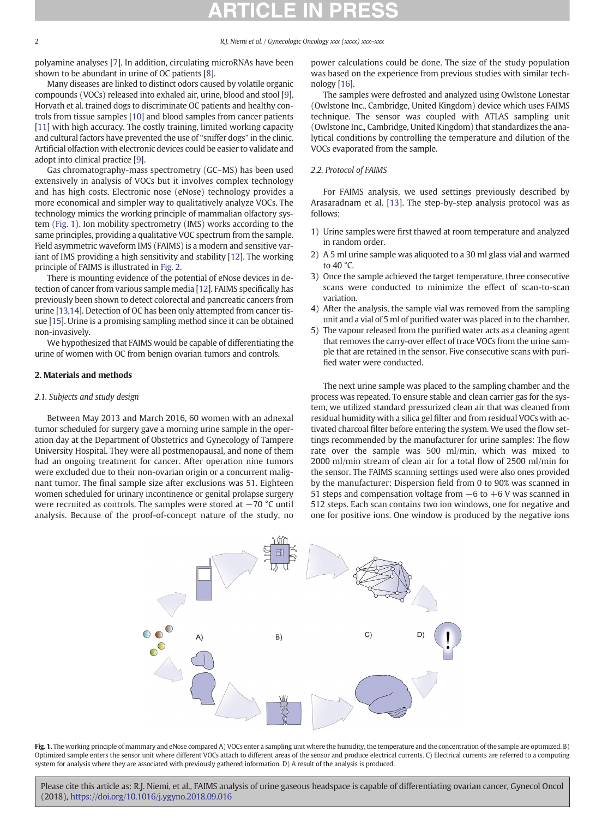polyamine analyses [[7](#page-4-0)]. In addition, circulating microRNAs have been shown to be abundant in urine of OC patients [\[8\]](#page-4-0).

Many diseases are linked to distinct odors caused by volatile organic compounds (VOCs) released into exhaled air, urine, blood and stool [[9](#page-4-0)]. Horvath et al. trained dogs to discriminate OC patients and healthy controls from tissue samples [\[10](#page-4-0)] and blood samples from cancer patients [[11\]](#page-4-0) with high accuracy. The costly training, limited working capacity and cultural factors have prevented the use of "sniffer dogs" in the clinic. Artificial olfaction with electronic devices could be easier to validate and adopt into clinical practice [\[9\]](#page-4-0).

Gas chromatography-mass spectrometry (GC–MS) has been used extensively in analysis of VOCs but it involves complex technology and has high costs. Electronic nose (eNose) technology provides a more economical and simpler way to qualitatively analyze VOCs. The technology mimics the working principle of mammalian olfactory system (Fig. 1). Ion mobility spectrometry (IMS) works according to the same principles, providing a qualitative VOC spectrum from the sample. Field asymmetric waveform IMS (FAIMS) is a modern and sensitive variant of IMS providing a high sensitivity and stability [[12\]](#page-4-0). The working principle of FAIMS is illustrated in [Fig. 2.](#page-2-0)

There is mounting evidence of the potential of eNose devices in detection of cancer from various sample media [[12\]](#page-4-0). FAIMS specifically has previously been shown to detect colorectal and pancreatic cancers from urine [\[13,14\]](#page-4-0). Detection of OC has been only attempted from cancer tissue [\[15](#page-4-0)]. Urine is a promising sampling method since it can be obtained non-invasively.

We hypothesized that FAIMS would be capable of differentiating the urine of women with OC from benign ovarian tumors and controls.

# 2. Materials and methods

# 2.1. Subjects and study design

Between May 2013 and March 2016, 60 women with an adnexal tumor scheduled for surgery gave a morning urine sample in the operation day at the Department of Obstetrics and Gynecology of Tampere University Hospital. They were all postmenopausal, and none of them had an ongoing treatment for cancer. After operation nine tumors were excluded due to their non-ovarian origin or a concurrent malignant tumor. The final sample size after exclusions was 51. Eighteen women scheduled for urinary incontinence or genital prolapse surgery were recruited as controls. The samples were stored at  $-70$  °C until analysis. Because of the proof-of-concept nature of the study, no power calculations could be done. The size of the study population was based on the experience from previous studies with similar technology [[16\]](#page-4-0).

The samples were defrosted and analyzed using Owlstone Lonestar (Owlstone Inc., Cambridge, United Kingdom) device which uses FAIMS technique. The sensor was coupled with ATLAS sampling unit (Owlstone Inc., Cambridge, United Kingdom) that standardizes the analytical conditions by controlling the temperature and dilution of the VOCs evaporated from the sample.

# 2.2. Protocol of FAIMS

For FAIMS analysis, we used settings previously described by Arasaradnam et al. [\[13](#page-4-0)]. The step-by-step analysis protocol was as follows:

- 1) Urine samples were first thawed at room temperature and analyzed in random order.
- 2) A 5 ml urine sample was aliquoted to a 30 ml glass vial and warmed to 40 °C.
- 3) Once the sample achieved the target temperature, three consecutive scans were conducted to minimize the effect of scan-to-scan variation.
- 4) After the analysis, the sample vial was removed from the sampling unit and a vial of 5 ml of purified water was placed in to the chamber.
- 5) The vapour released from the purified water acts as a cleaning agent that removes the carry-over effect of trace VOCs from the urine sample that are retained in the sensor. Five consecutive scans with purified water were conducted.

The next urine sample was placed to the sampling chamber and the process was repeated. To ensure stable and clean carrier gas for the system, we utilized standard pressurized clean air that was cleaned from residual humidity with a silica gel filter and from residual VOCs with activated charcoal filter before entering the system. We used the flow settings recommended by the manufacturer for urine samples: The flow rate over the sample was 500 ml/min, which was mixed to 2000 ml/min stream of clean air for a total flow of 2500 ml/min for the sensor. The FAIMS scanning settings used were also ones provided by the manufacturer: Dispersion field from 0 to 90% was scanned in 51 steps and compensation voltage from  $-6$  to  $+6$  V was scanned in 512 steps. Each scan contains two ion windows, one for negative and one for positive ions. One window is produced by the negative ions



Fig. 1. The working principle of mammary and eNose compared A) VOCs enter a sampling unit where the humidity, the temperature and the concentration of the sample are optimized. B) Optimized sample enters the sensor unit where different VOCs attach to different areas of the sensor and produce electrical currents. C) Electrical currents are referred to a computing system for analysis where they are associated with previously gathered information. D) A result of the analysis is produced.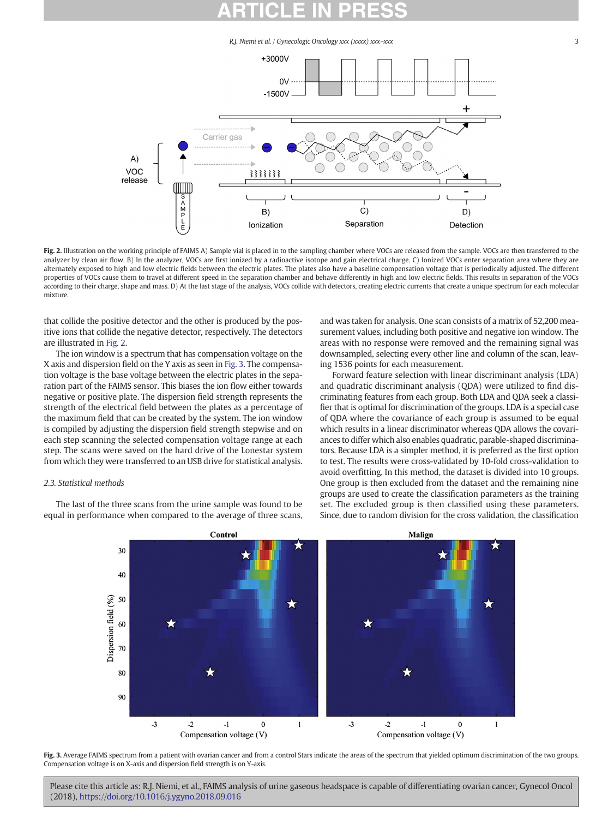<span id="page-2-0"></span>

Fig. 2. Illustration on the working principle of FAIMS A) Sample vial is placed in to the sampling chamber where VOCs are released from the sample. VOCs are then transferred to the analyzer by clean air flow. B) In the analyzer, VOCs are first ionized by a radioactive isotope and gain electrical charge. C) Ionized VOCs enter separation area where they are alternately exposed to high and low electric fields between the electric plates. The plates also have a baseline compensation voltage that is periodically adjusted. The different properties of VOCs cause them to travel at different speed in the separation chamber and behave differently in high and low electric fields. This results in separation of the VOCs according to their charge, shape and mass. D) At the last stage of the analysis, VOCs collide with detectors, creating electric currents that create a unique spectrum for each molecular mixture.

that collide the positive detector and the other is produced by the positive ions that collide the negative detector, respectively. The detectors are illustrated in Fig. 2.

The ion window is a spectrum that has compensation voltage on the X axis and dispersion field on the Y axis as seen in Fig. 3. The compensation voltage is the base voltage between the electric plates in the separation part of the FAIMS sensor. This biases the ion flow either towards negative or positive plate. The dispersion field strength represents the strength of the electrical field between the plates as a percentage of the maximum field that can be created by the system. The ion window is compiled by adjusting the dispersion field strength stepwise and on each step scanning the selected compensation voltage range at each step. The scans were saved on the hard drive of the Lonestar system from which they were transferred to an USB drive for statistical analysis.

### 2.3. Statistical methods

The last of the three scans from the urine sample was found to be equal in performance when compared to the average of three scans, and was taken for analysis. One scan consists of a matrix of 52,200 measurement values, including both positive and negative ion window. The areas with no response were removed and the remaining signal was downsampled, selecting every other line and column of the scan, leaving 1536 points for each measurement.

Forward feature selection with linear discriminant analysis (LDA) and quadratic discriminant analysis (QDA) were utilized to find discriminating features from each group. Both LDA and QDA seek a classifier that is optimal for discrimination of the groups. LDA is a special case of QDA where the covariance of each group is assumed to be equal which results in a linear discriminator whereas QDA allows the covariances to differ which also enables quadratic, parable-shaped discriminators. Because LDA is a simpler method, it is preferred as the first option to test. The results were cross-validated by 10-fold cross-validation to avoid overfitting. In this method, the dataset is divided into 10 groups. One group is then excluded from the dataset and the remaining nine groups are used to create the classification parameters as the training set. The excluded group is then classified using these parameters. Since, due to random division for the cross validation, the classification



Fig. 3. Average FAIMS spectrum from a patient with ovarian cancer and from a control Stars indicate the areas of the spectrum that yielded optimum discrimination of the two groups. Compensation voltage is on X-axis and dispersion field strength is on Y-axis.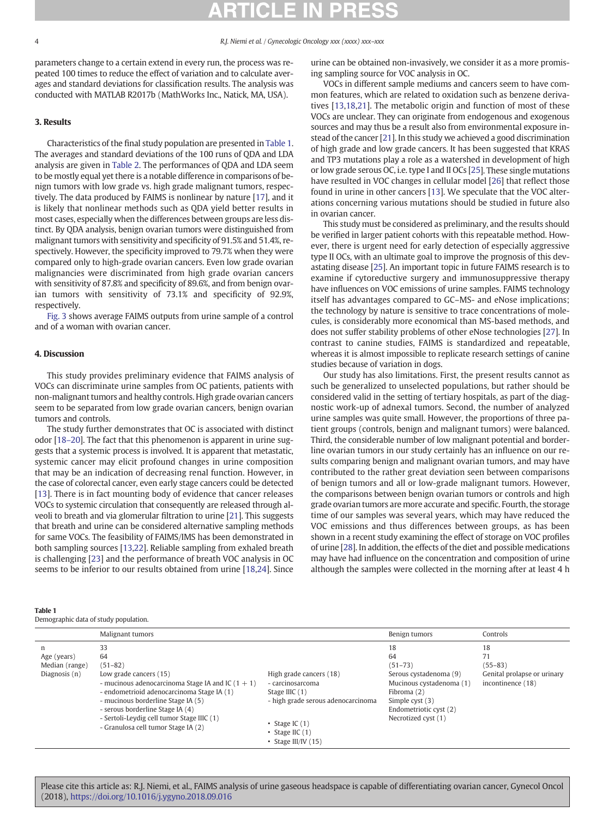parameters change to a certain extend in every run, the process was repeated 100 times to reduce the effect of variation and to calculate averages and standard deviations for classification results. The analysis was conducted with MATLAB R2017b (MathWorks Inc., Natick, MA, USA).

### 3. Results

Characteristics of the final study population are presented in Table 1. The averages and standard deviations of the 100 runs of QDA and LDA analysis are given in [Table 2.](#page-4-0) The performances of QDA and LDA seem to be mostly equal yet there is a notable difference in comparisons of benign tumors with low grade vs. high grade malignant tumors, respectively. The data produced by FAIMS is nonlinear by nature [\[17](#page-4-0)], and it is likely that nonlinear methods such as QDA yield better results in most cases, especially when the differences between groups are less distinct. By QDA analysis, benign ovarian tumors were distinguished from malignant tumors with sensitivity and specificity of 91.5% and 51.4%, respectively. However, the specificity improved to 79.7% when they were compared only to high-grade ovarian cancers. Even low grade ovarian malignancies were discriminated from high grade ovarian cancers with sensitivity of 87.8% and specificity of 89.6%, and from benign ovarian tumors with sensitivity of 73.1% and specificity of 92.9%, respectively.

[Fig. 3](#page-2-0) shows average FAIMS outputs from urine sample of a control and of a woman with ovarian cancer.

### 4. Discussion

This study provides preliminary evidence that FAIMS analysis of VOCs can discriminate urine samples from OC patients, patients with non-malignant tumors and healthy controls. High grade ovarian cancers seem to be separated from low grade ovarian cancers, benign ovarian tumors and controls.

The study further demonstrates that OC is associated with distinct odor [\[18](#page-4-0)–20]. The fact that this phenomenon is apparent in urine suggests that a systemic process is involved. It is apparent that metastatic, systemic cancer may elicit profound changes in urine composition that may be an indication of decreasing renal function. However, in the case of colorectal cancer, even early stage cancers could be detected [[13\]](#page-4-0). There is in fact mounting body of evidence that cancer releases VOCs to systemic circulation that consequently are released through alveoli to breath and via glomerular filtration to urine [[21](#page-4-0)]. This suggests that breath and urine can be considered alternative sampling methods for same VOCs. The feasibility of FAIMS/IMS has been demonstrated in both sampling sources [\[13,22](#page-4-0)]. Reliable sampling from exhaled breath is challenging [[23\]](#page-4-0) and the performance of breath VOC analysis in OC seems to be inferior to our results obtained from urine [[18,](#page-4-0)[24\]](#page-5-0). Since

| Table 1                               |
|---------------------------------------|
| Demographic data of study population. |

urine can be obtained non-invasively, we consider it as a more promising sampling source for VOC analysis in OC.

VOCs in different sample mediums and cancers seem to have common features, which are related to oxidation such as benzene derivatives [[13,18,21](#page-4-0)]. The metabolic origin and function of most of these VOCs are unclear. They can originate from endogenous and exogenous sources and may thus be a result also from environmental exposure instead of the cancer [\[21](#page-4-0)]. In this study we achieved a good discrimination of high grade and low grade cancers. It has been suggested that KRAS and TP3 mutations play a role as a watershed in development of high or low grade serous OC, i.e. type I and II OCs [\[25](#page-5-0)]. These single mutations have resulted in VOC changes in cellular model [\[26](#page-5-0)] that reflect those found in urine in other cancers [\[13](#page-4-0)]. We speculate that the VOC alterations concerning various mutations should be studied in future also in ovarian cancer.

This study must be considered as preliminary, and the results should be verified in larger patient cohorts with this repeatable method. However, there is urgent need for early detection of especially aggressive type II OCs, with an ultimate goal to improve the prognosis of this devastating disease [\[25](#page-5-0)]. An important topic in future FAIMS research is to examine if cytoreductive surgery and immunosuppressive therapy have influences on VOC emissions of urine samples. FAIMS technology itself has advantages compared to GC–MS- and eNose implications; the technology by nature is sensitive to trace concentrations of molecules, is considerably more economical than MS-based methods, and does not suffer stability problems of other eNose technologies [[27\]](#page-5-0). In contrast to canine studies, FAIMS is standardized and repeatable, whereas it is almost impossible to replicate research settings of canine studies because of variation in dogs.

Our study has also limitations. First, the present results cannot as such be generalized to unselected populations, but rather should be considered valid in the setting of tertiary hospitals, as part of the diagnostic work-up of adnexal tumors. Second, the number of analyzed urine samples was quite small. However, the proportions of three patient groups (controls, benign and malignant tumors) were balanced. Third, the considerable number of low malignant potential and borderline ovarian tumors in our study certainly has an influence on our results comparing benign and malignant ovarian tumors, and may have contributed to the rather great deviation seen between comparisons of benign tumors and all or low-grade malignant tumors. However, the comparisons between benign ovarian tumors or controls and high grade ovarian tumors are more accurate and specific. Fourth, the storage time of our samples was several years, which may have reduced the VOC emissions and thus differences between groups, as has been shown in a recent study examining the effect of storage on VOC profiles of urine [\[28](#page-5-0)]. In addition, the effects of the diet and possible medications may have had influence on the concentration and composition of urine although the samples were collected in the morning after at least 4 h

| Malignant tumors                                                                                                                                                                                                                                                                                                      |                                                                                                                         | Benign tumors                                                                                                                                                    | Controls                                                                    |
|-----------------------------------------------------------------------------------------------------------------------------------------------------------------------------------------------------------------------------------------------------------------------------------------------------------------------|-------------------------------------------------------------------------------------------------------------------------|------------------------------------------------------------------------------------------------------------------------------------------------------------------|-----------------------------------------------------------------------------|
| 33<br>64<br>$(51 - 82)$<br>Low grade cancers (15)<br>- mucinous adenocarcinoma Stage IA and IC $(1 + 1)$<br>- endometrioid adenocarcinoma Stage IA (1)<br>- mucinous borderline Stage IA (5)<br>- serous borderline Stage IA (4)<br>- Sertoli-Leydig cell tumor Stage IIIC (1)<br>- Granulosa cell tumor Stage IA (2) | High grade cancers (18)<br>- carcinosarcoma<br>Stage IIIC (1)<br>- high grade serous adenocarcinoma<br>• Stage IC $(1)$ | 18<br>64<br>$(51 - 73)$<br>Serous cystadenoma (9)<br>Mucinous cystadenoma (1)<br>Fibroma (2)<br>Simple cyst (3)<br>Endometriotic cyst (2)<br>Necrotized cyst (1) | 18<br>71<br>$(55 - 83)$<br>Genital prolapse or urinary<br>incontinence (18) |
|                                                                                                                                                                                                                                                                                                                       |                                                                                                                         | • Stage IIC $(1)$                                                                                                                                                |                                                                             |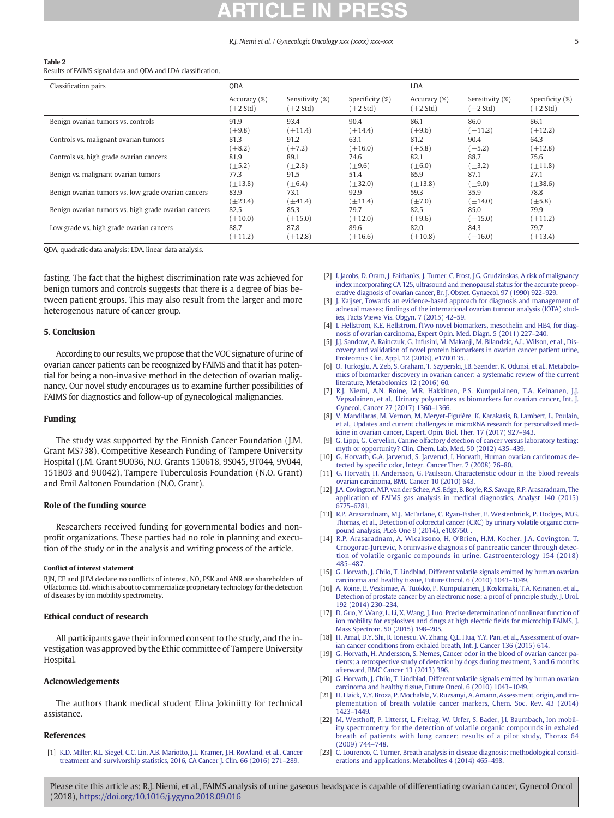### <span id="page-4-0"></span>Table 2

Results of FAIMS signal data and QDA and LDA classification.

| Classification pairs                                 | QDA                   |                       |                       | <b>LDA</b>            |                       |                       |
|------------------------------------------------------|-----------------------|-----------------------|-----------------------|-----------------------|-----------------------|-----------------------|
|                                                      | Accuracy (%)          | Sensitivity (%)       | Specificity (%)       | Accuracy (%)          | Sensitivity (%)       | Specificity (%)       |
|                                                      | $(\pm 2 \text{ Std})$ | $(\pm 2 \text{ Std})$ | $(\pm 2 \text{ Std})$ | $(\pm 2 \text{ Std})$ | $(\pm 2 \text{ Std})$ | $(\pm 2 \text{ Std})$ |
| Benign ovarian tumors vs. controls                   | 91.9                  | 93.4                  | 90.4                  | 86.1                  | 86.0                  | 86.1                  |
|                                                      | $(\pm 9.8)$           | $(\pm 11.4)$          | $(\pm 14.4)$          | $(\pm 9.6)$           | $(\pm 11.2)$          | $(\pm 12.2)$          |
| Controls vs. malignant ovarian tumors                | 81.3                  | 91.2                  | 63.1                  | 81.2                  | 90.4                  | 64.3                  |
|                                                      | $(\pm 8.2)$           | $(\pm 7.2)$           | $(\pm 16.0)$          | $(\pm 5.8)$           | $(\pm 5.2)$           | $(\pm 12.8)$          |
| Controls vs. high grade ovarian cancers              | 81.9                  | 89.1                  | 74.6                  | 82.1                  | 88.7                  | 75.6                  |
|                                                      | $(\pm 5.2)$           | $(\pm 2.8)$           | $(\pm 9.6)$           | $(\pm 6.0)$           | $(\pm 3.2)$           | $(\pm 11.8)$          |
| Benign vs. malignant ovarian tumors                  | 77.3                  | 91.5                  | 51.4                  | 65.9                  | 87.1                  | 27.1                  |
|                                                      | $(\pm 13.8)$          | $(\pm 6.4)$           | $(\pm 32.0)$          | $(\pm 13.8)$          | $(\pm 9.0)$           | $(\pm 38.6)$          |
| Benign ovarian tumors vs. low grade ovarian cancers  | 83.9                  | 73.1                  | 92.9                  | 59.3                  | 35.9                  | 78.8                  |
|                                                      | $(\pm 23.4)$          | $(\pm 41.4)$          | $(\pm 11.4)$          | $(\pm 7.0)$           | $(\pm 14.0)$          | $(\pm 5.8)$           |
| Benign ovarian tumors vs. high grade ovarian cancers | 82.5                  | 85.3                  | 79.7                  | 82.5                  | 85.0                  | 79.9                  |
|                                                      | $(\pm 10.0)$          | $(\pm 15.0)$          | $(\pm 12.0)$          | $(\pm 9.6)$           | $(\pm 15.0)$          | $(\pm 11.2)$          |
| Low grade vs. high grade ovarian cancers             | 88.7                  | 87.8                  | 89.6                  | 82.0                  | 84.3                  | 79.7                  |
|                                                      | $(\pm 11.2)$          | $(\pm 12.8)$          | $(\pm 16.6)$          | $(\pm 10.8)$          | $(\pm 16.0)$          | $(\pm 13.4)$          |

QDA, quadratic data analysis; LDA, linear data analysis.

fasting. The fact that the highest discrimination rate was achieved for benign tumors and controls suggests that there is a degree of bias between patient groups. This may also result from the larger and more heterogenous nature of cancer group.

## 5. Conclusion

According to our results, we propose that the VOC signature of urine of ovarian cancer patients can be recognized by FAIMS and that it has potential for being a non-invasive method in the detection of ovarian malignancy. Our novel study encourages us to examine further possibilities of FAIMS for diagnostics and follow-up of gynecological malignancies.

### Funding

The study was supported by the Finnish Cancer Foundation (J.M. Grant MS738), Competitive Research Funding of Tampere University Hospital (J.M. Grant 9U036, N.O. Grants 150618, 9S045, 9T044, 9V044, 151B03 and 9U042), Tampere Tuberculosis Foundation (N.O. Grant) and Emil Aaltonen Foundation (N.O. Grant).

### Role of the funding source

Researchers received funding for governmental bodies and nonprofit organizations. These parties had no role in planning and execution of the study or in the analysis and writing process of the article.

### Conflict of interest statement

RJN, EE and JUM declare no conflicts of interest. NO, PSK and ANR are shareholders of Olfactomics Ltd. which is about to commercialize proprietary technology for the detection of diseases by ion mobility spectrometry.

## Ethical conduct of research

All participants gave their informed consent to the study, and the investigation was approved by the Ethic committee of Tampere University Hospital.

# Acknowledgements

The authors thank medical student Elina Jokiniitty for technical assistance.

### References

[1] [K.D. Miller, R.L. Siegel, C.C. Lin, A.B. Mariotto, J.L. Kramer, J.H. Rowland, et al., Cancer](http://refhub.elsevier.com/S0090-8258(18)31235-6/rf0005) [treatment and survivorship statistics, 2016, CA Cancer J. Clin. 66 \(2016\) 271](http://refhub.elsevier.com/S0090-8258(18)31235-6/rf0005)–289.

- [2] [I. Jacobs, D. Oram, J. Fairbanks, J. Turner, C. Frost, J.G. Grudzinskas, A risk of malignancy](http://refhub.elsevier.com/S0090-8258(18)31235-6/rf0010) [index incorporating CA 125, ultrasound and](http://refhub.elsevier.com/S0090-8258(18)31235-6/rf0010) menopausal status for the accurate preop[erative diagnosis of ovarian cancer, Br. J. Obstet. Gynaecol. 97 \(1990\) 922](http://refhub.elsevier.com/S0090-8258(18)31235-6/rf0010)–929.
- [3] [J. Kaijser, Towards an evidence-based approach for diagnosis and management of](http://refhub.elsevier.com/S0090-8258(18)31235-6/rf0015) adnexal masses: fi[ndings of the international ovarian tumour analysis \(IOTA\) stud](http://refhub.elsevier.com/S0090-8258(18)31235-6/rf0015)[ies, Facts Views Vis. Obgyn. 7 \(2015\) 42](http://refhub.elsevier.com/S0090-8258(18)31235-6/rf0015)–59.
- [4] [I. Hellstrom, K.E. Hellstrom, fTwo novel biomarkers, mesothelin and HE4, for diag](http://refhub.elsevier.com/S0090-8258(18)31235-6/rf0020)[nosis of ovarian carcinoma, Expert Opin. Med. Diagn. 5 \(2011\) 227](http://refhub.elsevier.com/S0090-8258(18)31235-6/rf0020)–240.
- [5] [J.J. Sandow, A. Rainczuk, G. Infusini, M. Makanji, M. Bilandzic, A.L. Wilson, et al., Dis](http://refhub.elsevier.com/S0090-8258(18)31235-6/rf0025)[covery and validation of novel protein biomarkers in ovarian cancer patient urine,](http://refhub.elsevier.com/S0090-8258(18)31235-6/rf0025) [Proteomics Clin. Appl. 12 \(2018\), e1700135.](http://refhub.elsevier.com/S0090-8258(18)31235-6/rf0025) .
- [6] [O. Turkoglu, A. Zeb, S. Graham, T. Szyperski, J.B. Szender, K. Odunsi, et al., Metabolo](http://refhub.elsevier.com/S0090-8258(18)31235-6/rf0030)[mics of biomarker discovery in ovarian cancer: a systematic review of the current](http://refhub.elsevier.com/S0090-8258(18)31235-6/rf0030) [literature, Metabolomics 12 \(2016\) 60.](http://refhub.elsevier.com/S0090-8258(18)31235-6/rf0030)
- R.J. Niemi, A.N. Roine, M.R. Hakkinen, P.S. Kumpulainen, T.A. Keinanen, J.J [Vepsalainen, et al., Urinary polyamines as biomarkers for ovarian cancer, Int. J.](http://refhub.elsevier.com/S0090-8258(18)31235-6/rf0035) [Gynecol. Cancer 27 \(2017\) 1360](http://refhub.elsevier.com/S0090-8258(18)31235-6/rf0035)–1366.
- [8] [V. Mandilaras, M. Vernon, M. Meryet-Figuière, K. Karakasis, B. Lambert, L. Poulain,](http://refhub.elsevier.com/S0090-8258(18)31235-6/rf0040) [et al., Updates and current challenges in microRNA research for personalized med](http://refhub.elsevier.com/S0090-8258(18)31235-6/rf0040)[icine in ovarian cancer, Expert. Opin. Biol. Ther. 17 \(2017\) 927](http://refhub.elsevier.com/S0090-8258(18)31235-6/rf0040)–943.
- [9] [G. Lippi, G. Cervellin, Canine olfactory detection of cancer versus laboratory testing:](http://refhub.elsevier.com/S0090-8258(18)31235-6/rf0045) [myth or opportunity? Clin. Chem. Lab. Med. 50 \(2012\) 435](http://refhub.elsevier.com/S0090-8258(18)31235-6/rf0045)–439.
- [10] [G. Horvath, G.A. Jarverud, S. Jarverud, I. Horvath, Human ovarian carcinomas de](http://refhub.elsevier.com/S0090-8258(18)31235-6/rf0050)tected by specifi[c odor, Integr. Cancer Ther. 7 \(2008\) 76](http://refhub.elsevier.com/S0090-8258(18)31235-6/rf0050)–80.
- [11] [G. Horvath, H. Andersson, G. Paulsson, Characteristic odour in the blood reveals](http://refhub.elsevier.com/S0090-8258(18)31235-6/rf0055) [ovarian carcinoma, BMC Cancer 10 \(2010\) 643.](http://refhub.elsevier.com/S0090-8258(18)31235-6/rf0055)
- [12] [J.A. Covington, M.P. van der Schee, A.S. Edge, B. Boyle, R.S. Savage, R.P. Arasaradnam, The](http://refhub.elsevier.com/S0090-8258(18)31235-6/rf0060) [application of FAIMS gas analysis in medical diagnostics, Analyst 140 \(2015\)](http://refhub.elsevier.com/S0090-8258(18)31235-6/rf0060) [6775](http://refhub.elsevier.com/S0090-8258(18)31235-6/rf0060)–6781.
- [13] [R.P. Arasaradnam, M.J. McFarlane, C. Ryan-Fisher, E. Westenbrink, P. Hodges, M.G.](http://refhub.elsevier.com/S0090-8258(18)31235-6/rf0065) [Thomas, et al., Detection of colorectal cancer \(CRC\) by urinary volatile organic com](http://refhub.elsevier.com/S0090-8258(18)31235-6/rf0065)[pound analysis, PLoS One 9 \(2014\), e108750. .](http://refhub.elsevier.com/S0090-8258(18)31235-6/rf0065)
- [14] [R.P. Arasaradnam, A. Wicaksono, H. O'Brien, H.M. Kocher, J.A. Covington, T.](http://refhub.elsevier.com/S0090-8258(18)31235-6/rf0070) [Crnogorac-Jurcevic, Noninvasive diagnosis of pancreatic cancer through detec](http://refhub.elsevier.com/S0090-8258(18)31235-6/rf0070)[tion of volatile organic compounds in urine, Gastroenterology 154 \(2018\)](http://refhub.elsevier.com/S0090-8258(18)31235-6/rf0070) 485–[487.](http://refhub.elsevier.com/S0090-8258(18)31235-6/rf0070)
- [15] [G. Horvath, J. Chilo, T. Lindblad, Different volatile signals emitted by human ovarian](http://refhub.elsevier.com/S0090-8258(18)31235-6/rf0075) [carcinoma and healthy tissue, Future Oncol. 6 \(2010\) 1043](http://refhub.elsevier.com/S0090-8258(18)31235-6/rf0075)–1049.
- [16] [A. Roine, E. Veskimae, A. Tuokko, P. Kumpulainen, J. Koskimaki, T.A. Keinanen, et al.,](http://refhub.elsevier.com/S0090-8258(18)31235-6/rf0080) [Detection of prostate cancer by an electronic nose: a proof of principle study, J. Urol.](http://refhub.elsevier.com/S0090-8258(18)31235-6/rf0080) [192 \(2014\) 230](http://refhub.elsevier.com/S0090-8258(18)31235-6/rf0080)–234.
- [17] [D. Guo, Y. Wang, L. Li, X. Wang, J. Luo, Precise determination of nonlinear function of](http://refhub.elsevier.com/S0090-8258(18)31235-6/rf0085) [ion mobility for explosives and drugs at high electric](http://refhub.elsevier.com/S0090-8258(18)31235-6/rf0085) fields for microchip FAIMS, J. [Mass Spectrom. 50 \(2015\) 198](http://refhub.elsevier.com/S0090-8258(18)31235-6/rf0085)–205.
- [18] [H. Amal, D.Y. Shi, R. Ionescu, W. Zhang, Q.L. Hua, Y.Y. Pan, et al., Assessment of ovar](http://refhub.elsevier.com/S0090-8258(18)31235-6/rf0090)[ian cancer conditions from exhaled breath, Int. J. Cancer 136 \(2015\) 614.](http://refhub.elsevier.com/S0090-8258(18)31235-6/rf0090)
- [G. Horvath, H. Andersson, S. Nemes, Cancer odor in the blood of ovarian cancer pa](http://refhub.elsevier.com/S0090-8258(18)31235-6/rf0095)[tients: a retrospective study of detection by dogs during treatment, 3 and 6 months](http://refhub.elsevier.com/S0090-8258(18)31235-6/rf0095) [afterward, BMC Cancer 13 \(2013\) 396](http://refhub.elsevier.com/S0090-8258(18)31235-6/rf0095).
- [20] [G. Horvath, J. Chilo, T. Lindblad, Different volatile signals emitted by human ovarian](http://refhub.elsevier.com/S0090-8258(18)31235-6/rf0100) [carcinoma and healthy tissue, Future Oncol. 6 \(2010\) 1043](http://refhub.elsevier.com/S0090-8258(18)31235-6/rf0100)–1049.
- [21] [H. Haick, Y.Y. Broza, P. Mochalski, V. Ruzsanyi, A. Amann, Assessment, origin, and im](http://refhub.elsevier.com/S0090-8258(18)31235-6/rf0105)[plementation of breath volatile cancer markers, Chem. Soc. Rev. 43 \(2014\)](http://refhub.elsevier.com/S0090-8258(18)31235-6/rf0105) 1423–[1449](http://refhub.elsevier.com/S0090-8258(18)31235-6/rf0105).
- [22] [M. Westhoff, P. Litterst, L. Freitag, W. Urfer, S. Bader, J.I. Baumbach, Ion mobil](http://refhub.elsevier.com/S0090-8258(18)31235-6/rf0110)[ity spectrometry for the detection of volatile organic compounds in exhaled](http://refhub.elsevier.com/S0090-8258(18)31235-6/rf0110) [breath of patients with lung cancer: results of a pilot study, Thorax 64](http://refhub.elsevier.com/S0090-8258(18)31235-6/rf0110) [\(2009\) 744](http://refhub.elsevier.com/S0090-8258(18)31235-6/rf0110)–748.
- [23] [C. Lourenco, C. Turner, Breath analysis in disease diagnosis: methodological consid](http://refhub.elsevier.com/S0090-8258(18)31235-6/rf0115)[erations and applications, Metabolites 4 \(2014\) 465](http://refhub.elsevier.com/S0090-8258(18)31235-6/rf0115)–498.